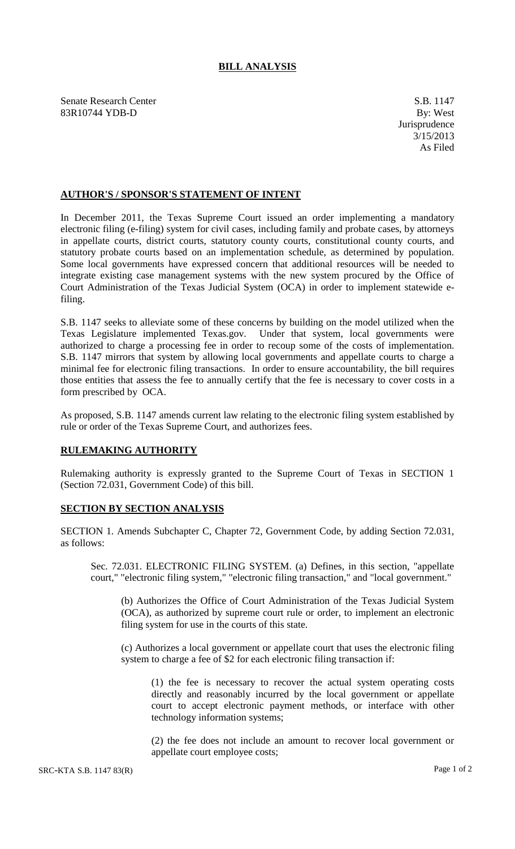## **BILL ANALYSIS**

Senate Research Center S.B. 1147 83R10744 YDB-D By: West

## **AUTHOR'S / SPONSOR'S STATEMENT OF INTENT**

In December 2011, the Texas Supreme Court issued an order implementing a mandatory electronic filing (e-filing) system for civil cases, including family and probate cases, by attorneys in appellate courts, district courts, statutory county courts, constitutional county courts, and statutory probate courts based on an implementation schedule, as determined by population. Some local governments have expressed concern that additional resources will be needed to integrate existing case management systems with the new system procured by the Office of Court Administration of the Texas Judicial System (OCA) in order to implement statewide efiling.

S.B. 1147 seeks to alleviate some of these concerns by building on the model utilized when the Texas Legislature implemented Texas.gov. Under that system, local governments were authorized to charge a processing fee in order to recoup some of the costs of implementation. S.B. 1147 mirrors that system by allowing local governments and appellate courts to charge a minimal fee for electronic filing transactions. In order to ensure accountability, the bill requires those entities that assess the fee to annually certify that the fee is necessary to cover costs in a form prescribed by OCA.

As proposed, S.B. 1147 amends current law relating to the electronic filing system established by rule or order of the Texas Supreme Court, and authorizes fees.

## **RULEMAKING AUTHORITY**

Rulemaking authority is expressly granted to the Supreme Court of Texas in SECTION 1 (Section 72.031, Government Code) of this bill.

## **SECTION BY SECTION ANALYSIS**

SECTION 1. Amends Subchapter C, Chapter 72, Government Code, by adding Section 72.031, as follows:

Sec. 72.031. ELECTRONIC FILING SYSTEM. (a) Defines, in this section, "appellate court," "electronic filing system," "electronic filing transaction," and "local government."

(b) Authorizes the Office of Court Administration of the Texas Judicial System (OCA), as authorized by supreme court rule or order, to implement an electronic filing system for use in the courts of this state.

(c) Authorizes a local government or appellate court that uses the electronic filing system to charge a fee of \$2 for each electronic filing transaction if:

(1) the fee is necessary to recover the actual system operating costs directly and reasonably incurred by the local government or appellate court to accept electronic payment methods, or interface with other technology information systems;

(2) the fee does not include an amount to recover local government or appellate court employee costs;